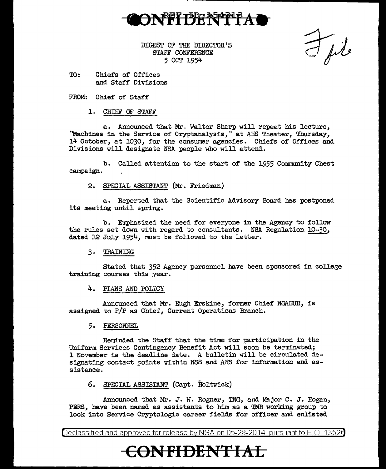

DIGEST OF THE DIRECTOR'S STAFF CONFERENCE 5 OCT 1954

File

TO: Chiefs of Offices and Staff' Divisions

## FROM: Chief of Staff

1. CHIEF OF STAFF

a. Announced that Mr. Walter Sharp will repeat his lecture, "Machines in the Service of Cryptanalysis," at AHS Theater, Thursday, 14 October, at 1030, for the consumer agencies. Chiefs of Offices and Divisions will designate NSA people who will attend.

b. Called attention to the start of the 1955 Community Chest campaign.

2. SPECIAL ASSISTANT (Mr. Friedman)

a. Reported that the Scientific Advisory Board has postponed its meeting until spring.

b. Emphasized the need for everyone in the Agency to follow the rules set down with regard to consultants. NSA Regulation 10-30, dated 12 July 1954, must be followed to the letter.

3. TRAINING

Stated that 352 Agency personnel have been sponsored in college training courses this year.

4. PIANS AND POLICY

Announced that Mr. Hugh Erskine, former Chief NSAEUR, is assigned to P/P as Chief, Current Operations Branch.

5. PERSONNEL

Reminded the Staff that the time for participation in the Uniform Services Contingency Benefit Act will soon be terminated; 1 November is the deadline date. A bulletin will be circulated designating contact points within NSS and AHS for information and assistance.

6. SPECIAL ASSISTANT {Capt. Holtwick)

Announced that Mr. J. w. Regner, TNG, and Major C. J. Hogan, PERS, have been named as assistants to him as a TMB working group to look into Service Cryptologic career fields for officer and enlisted

Declassified and approved for release by NSA on 05-28-2014 pursuantto E.O. 1352a

## **CONFIDENTIAL**